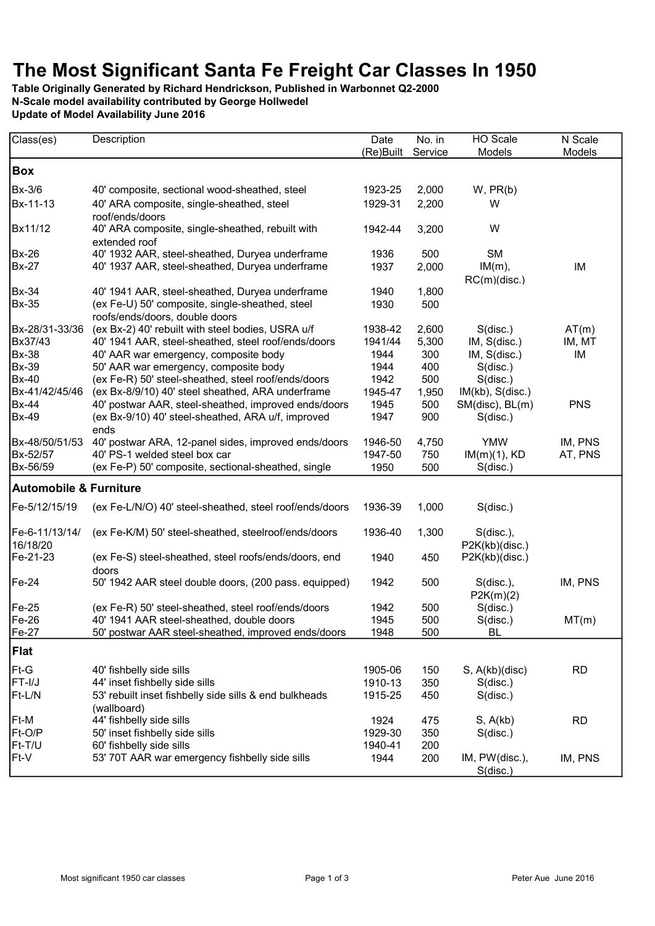## The Most Significant Santa Fe Freight Car Classes In 1950

Table Originally Generated by Richard Hendrickson, Published in Warbonnet Q2-2000 N-Scale model availability contributed by George Hollwedel Update of Model Availability June 2016

| Class(es)                         | Description                                                                       | Date      | No. in  | HO Scale                      | N Scale    |  |
|-----------------------------------|-----------------------------------------------------------------------------------|-----------|---------|-------------------------------|------------|--|
|                                   |                                                                                   | (Re)Built | Service | Models                        | Models     |  |
| <b>Box</b>                        |                                                                                   |           |         |                               |            |  |
| Bx-3/6                            | 40' composite, sectional wood-sheathed, steel                                     | 1923-25   | 2,000   | $W$ , $PR(b)$                 |            |  |
| Bx-11-13                          | 40' ARA composite, single-sheathed, steel<br>roof/ends/doors                      | 1929-31   | 2,200   | W                             |            |  |
| Bx11/12                           | 40' ARA composite, single-sheathed, rebuilt with<br>extended roof                 | 1942-44   | 3,200   | W                             |            |  |
| <b>Bx-26</b>                      | 40' 1932 AAR, steel-sheathed, Duryea underframe                                   | 1936      | 500     | <b>SM</b>                     |            |  |
| <b>Bx-27</b>                      | 40' 1937 AAR, steel-sheathed, Duryea underframe                                   | 1937      | 2,000   | $IM(m)$ ,<br>RC(m)(disc.)     | IM         |  |
| <b>Bx-34</b>                      | 40' 1941 AAR, steel-sheathed, Duryea underframe                                   | 1940      | 1,800   |                               |            |  |
| <b>Bx-35</b>                      | (ex Fe-U) 50' composite, single-sheathed, steel<br>roofs/ends/doors, double doors | 1930      | 500     |                               |            |  |
| Bx-28/31-33/36                    | (ex Bx-2) 40' rebuilt with steel bodies, USRA u/f                                 | 1938-42   | 2,600   | $S$ (disc.)                   | AT(m)      |  |
| Bx37/43                           | 40' 1941 AAR, steel-sheathed, steel roof/ends/doors                               | 1941/44   | 5,300   | IM, S(disc.)                  | IM, MT     |  |
| <b>Bx-38</b>                      | 40' AAR war emergency, composite body                                             | 1944      | 300     | IM, S(disc.)                  | IM         |  |
| <b>Bx-39</b>                      | 50' AAR war emergency, composite body                                             | 1944      | 400     | S(disc.)                      |            |  |
| <b>Bx-40</b>                      | (ex Fe-R) 50' steel-sheathed, steel roof/ends/doors                               | 1942      | 500     | S(disc.)                      |            |  |
| Bx-41/42/45/46                    | (ex Bx-8/9/10) 40' steel sheathed, ARA underframe                                 | 1945-47   | 1,950   | IM(kb), S(disc.)              |            |  |
| <b>Bx-44</b>                      | 40' postwar AAR, steel-sheathed, improved ends/doors                              | 1945      | 500     | SM(disc), BL(m)               | <b>PNS</b> |  |
| <b>Bx-49</b>                      | (ex Bx-9/10) 40' steel-sheathed, ARA u/f, improved<br>ends                        | 1947      | 900     | $S$ (disc.)                   |            |  |
| Bx-48/50/51/53                    | 40' postwar ARA, 12-panel sides, improved ends/doors                              | 1946-50   | 4,750   | <b>YMW</b>                    | IM, PNS    |  |
| Bx-52/57                          | 40' PS-1 welded steel box car                                                     | 1947-50   | 750     | $IM(m)(1)$ , KD               | AT, PNS    |  |
| Bx-56/59                          | (ex Fe-P) 50' composite, sectional-sheathed, single                               | 1950      | 500     | S(disc.)                      |            |  |
| <b>Automobile &amp; Furniture</b> |                                                                                   |           |         |                               |            |  |
| Fe-5/12/15/19                     | (ex Fe-L/N/O) 40' steel-sheathed, steel roof/ends/doors                           | 1936-39   | 1,000   | S(disc.)                      |            |  |
| Fe-6-11/13/14/<br>16/18/20        | (ex Fe-K/M) 50' steel-sheathed, steelroof/ends/doors                              | 1936-40   | 1,300   | S(disc.),<br>P2K(kb)(disc.)   |            |  |
| Fe-21-23                          | (ex Fe-S) steel-sheathed, steel roofs/ends/doors, end<br>doors                    | 1940      | 450     | P2K(kb)(disc.)                |            |  |
| $Fe-24$                           | 50' 1942 AAR steel double doors, (200 pass. equipped)                             | 1942      | 500     | $S(disc.)$ ,<br>P2K(m)(2)     | IM, PNS    |  |
| $Fe-25$                           | (ex Fe-R) 50' steel-sheathed, steel roof/ends/doors                               | 1942      | 500     | $S$ (disc.)                   |            |  |
| $Fe-26$                           | 40' 1941 AAR steel-sheathed, double doors                                         | 1945      | 500     | S(disc.)                      | MT(m)      |  |
| Fe-27                             | 50' postwar AAR steel-sheathed, improved ends/doors                               | 1948      | 500     | <b>BL</b>                     |            |  |
| Flat                              |                                                                                   |           |         |                               |            |  |
| Ft-G                              | 40' fishbelly side sills                                                          | 1905-06   | 150     | S, A(kb)(disc)                | <b>RD</b>  |  |
| FT-I/J                            | 44' inset fishbelly side sills                                                    | 1910-13   | 350     | S(disc.)                      |            |  |
| Ft-L/N                            | 53' rebuilt inset fishbelly side sills & end bulkheads                            | 1915-25   | 450     | S(disc.)                      |            |  |
|                                   | (wallboard)                                                                       |           |         |                               |            |  |
| Ft-M                              | 44' fishbelly side sills                                                          | 1924      | 475     | S, A(kb)                      | <b>RD</b>  |  |
| Ft-O/P                            | 50' inset fishbelly side sills                                                    | 1929-30   | 350     | S(disc.)                      |            |  |
| Ft-T/U                            | 60' fishbelly side sills                                                          | 1940-41   | 200     |                               |            |  |
| Ft-V                              | 53' 70T AAR war emergency fishbelly side sills                                    | 1944      | 200     | IM, PW(disc.),<br>$S$ (disc.) | IM, PNS    |  |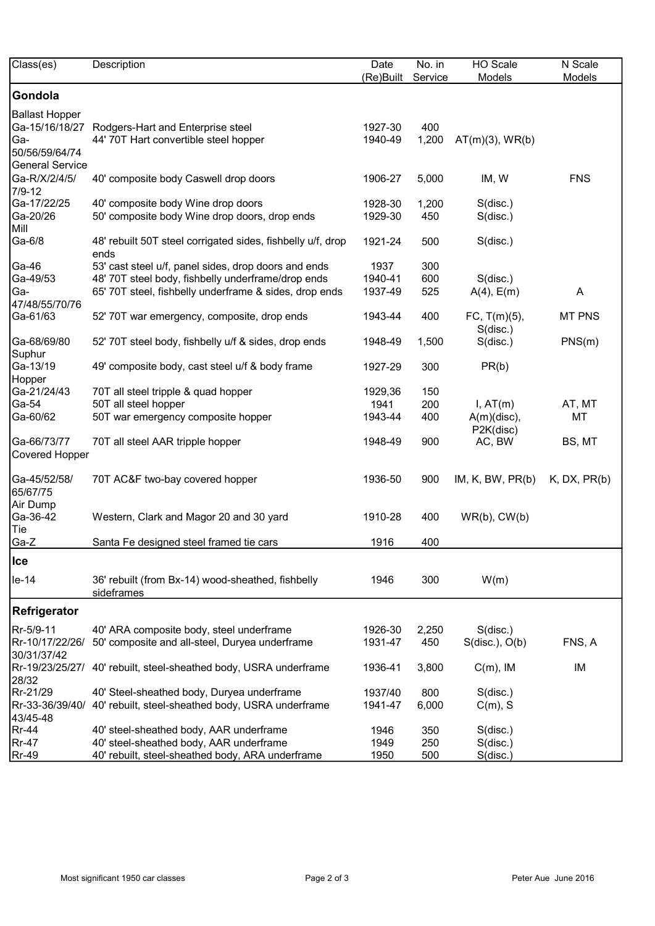| Class(es)                                | Description                                                         | Date      | No. in  | HO Scale                    | N Scale            |
|------------------------------------------|---------------------------------------------------------------------|-----------|---------|-----------------------------|--------------------|
|                                          |                                                                     | (Re)Built | Service | Models                      | Models             |
| Gondola                                  |                                                                     |           |         |                             |                    |
| Ballast Hopper                           |                                                                     |           |         |                             |                    |
|                                          | Ga-15/16/18/27 Rodgers-Hart and Enterprise steel                    | 1927-30   | 400     |                             |                    |
| Ga-                                      | 44' 70T Hart convertible steel hopper                               | 1940-49   | 1,200   | $AT(m)(3)$ , WR $(b)$       |                    |
| 50/56/59/64/74<br><b>General Service</b> |                                                                     |           |         |                             |                    |
| Ga-R/X/2/4/5/<br>7/9-12                  | 40' composite body Caswell drop doors                               | 1906-27   | 5,000   | IM, W                       | <b>FNS</b>         |
| Ga-17/22/25                              | 40' composite body Wine drop doors                                  | 1928-30   | 1,200   | S(disc.)                    |                    |
| Ga-20/26<br>Mill                         | 50' composite body Wine drop doors, drop ends                       | 1929-30   | 450     | S(disc.)                    |                    |
| Ga-6/8                                   | 48' rebuilt 50T steel corrigated sides, fishbelly u/f, drop<br>ends | 1921-24   | 500     | S(disc.)                    |                    |
| Ga-46                                    | 53' cast steel u/f, panel sides, drop doors and ends                | 1937      | 300     |                             |                    |
| Ga-49/53                                 | 48' 70T steel body, fishbelly underframe/drop ends                  | 1940-41   | 600     | S(disc.)                    |                    |
| Ga-                                      | 65' 70T steel, fishbelly underframe & sides, drop ends              | 1937-49   | 525     | $A(4)$ , $E(m)$             | A                  |
| 47/48/55/70/76<br>Ga-61/63               | 52' 70T war emergency, composite, drop ends                         | 1943-44   | 400     | FC, T(m)(5),                | <b>MT PNS</b>      |
|                                          |                                                                     |           |         | $S$ (disc.)                 |                    |
| Ga-68/69/80<br>Suphur                    | 52' 70T steel body, fishbelly u/f & sides, drop ends                | 1948-49   | 1,500   | S(disc.)                    | PNS(m)             |
| Ga-13/19<br>Hopper                       | 49' composite body, cast steel u/f & body frame                     | 1927-29   | 300     | PR(b)                       |                    |
| Ga-21/24/43                              | 70T all steel tripple & quad hopper                                 | 1929,36   | 150     |                             |                    |
| Ga-54                                    | 50T all steel hopper                                                | 1941      | 200     | I, AT(m)                    | AT, MT             |
| Ga-60/62                                 | 50T war emergency composite hopper                                  | 1943-44   | 400     | $A(m)$ (disc),<br>P2K(disc) | MT                 |
| Ga-66/73/77<br>Covered Hopper            | 70T all steel AAR tripple hopper                                    | 1948-49   | 900     | AC, BW                      | BS, MT             |
| Ga-45/52/58/<br>65/67/75                 | 70T AC&F two-bay covered hopper                                     | 1936-50   | 900     | IM, K, BW, PR(b)            | $K$ , DX, PR $(b)$ |
| Air Dump<br>Ga-36-42                     | Western, Clark and Magor 20 and 30 yard                             | 1910-28   | 400     | $WR(b)$ , $CW(b)$           |                    |
| Tie<br>Ga-Z                              | Santa Fe designed steel framed tie cars                             | 1916      | 400     |                             |                    |
| <b>Ice</b>                               |                                                                     |           |         |                             |                    |
| le-14                                    | 36' rebuilt (from Bx-14) wood-sheathed, fishbelly<br>sideframes     | 1946      | 300     | W(m)                        |                    |
| Refrigerator                             |                                                                     |           |         |                             |                    |
| Rr-5/9-11                                | 40' ARA composite body, steel underframe                            | 1926-30   | 2,250   | S(disc.)                    |                    |
| Rr-10/17/22/26/                          | 50' composite and all-steel, Duryea underframe                      | 1931-47   | 450     | S(disc.), O(b)              | FNS, A             |
| 30/31/37/42                              |                                                                     |           |         |                             |                    |
| Rr-19/23/25/27/<br>28/32                 | 40' rebuilt, steel-sheathed body, USRA underframe                   | 1936-41   | 3,800   | $C(m)$ , IM                 | IM                 |
| Rr-21/29                                 | 40' Steel-sheathed body, Duryea underframe                          | 1937/40   | 800     | S(disc.)                    |                    |
| Rr-33-36/39/40/<br>43/45-48              | 40' rebuilt, steel-sheathed body, USRA underframe                   | 1941-47   | 6,000   | $C(m)$ , S                  |                    |
| <b>Rr-44</b>                             | 40' steel-sheathed body, AAR underframe                             | 1946      | 350     | S(disc.)                    |                    |
| <b>Rr-47</b>                             | 40' steel-sheathed body, AAR underframe                             | 1949      | 250     | S(disc.)                    |                    |
| <b>Rr-49</b>                             | 40' rebuilt, steel-sheathed body, ARA underframe                    | 1950      | 500     | $S$ (disc.)                 |                    |